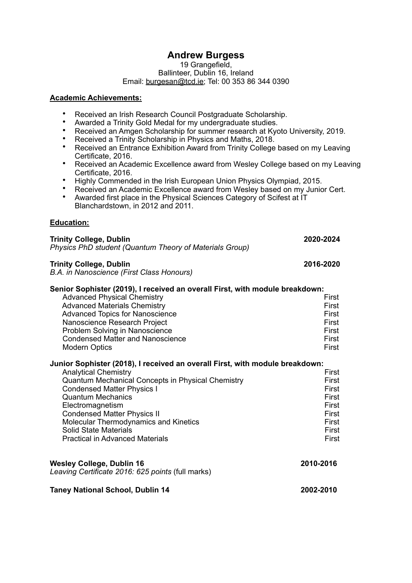# **Andrew Burgess**

#### 19 Grangefield, Ballinteer, Dublin 16, Ireland Email: [burgesan@tcd.ie;](mailto:burgesan@tcd.ie) Tel: 00 353 86 344 0390

#### **Academic Achievements:**

- Received an Irish Research Council Postgraduate Scholarship.<br>• Augustad a Trinity Cald Madel for my undergraduate studies.
- Awarded a Trinity Gold Medal for my undergraduate studies.
- Received an Amgen Scholarship for summer research at Kyoto University, 2019.
- Received a Trinity Scholarship in Physics and Maths, 2018.<br>• Received an Entrance Exhibition Award from Trinity College
- Received an Entrance Exhibition Award from Trinity College based on my Leaving Certificate, 2016.
- Received an Academic Excellence award from Wesley College based on my Leaving Certificate, 2016.
- Highly Commended in the Irish European Union Physics Olympiad, 2015.
- Received an Academic Excellence award from Wesley based on my Junior Cert.
- Awarded first place in the Physical Sciences Category of Scifest at IT Blanchardstown, in 2012 and 2011.

### **Education:**

| <b>Trinity College, Dublin</b><br>Physics PhD student (Quantum Theory of Materials Group)                                                                                                                                                                                                                                                                                                                      | 2020-2024                                                                     |
|----------------------------------------------------------------------------------------------------------------------------------------------------------------------------------------------------------------------------------------------------------------------------------------------------------------------------------------------------------------------------------------------------------------|-------------------------------------------------------------------------------|
| <b>Trinity College, Dublin</b><br>B.A. in Nanoscience (First Class Honours)                                                                                                                                                                                                                                                                                                                                    | 2016-2020                                                                     |
| Senior Sophister (2019), I received an overall First, with module breakdown:<br><b>Advanced Physical Chemistry</b><br><b>Advanced Materials Chemistry</b><br><b>Advanced Topics for Nanoscience</b><br>Nanoscience Research Project<br>Problem Solving in Nanoscience<br><b>Condensed Matter and Nanoscience</b><br><b>Modern Optics</b>                                                                       | First<br>First<br>First<br>First<br>First<br>First<br>First                   |
| Junior Sophister (2018), I received an overall First, with module breakdown:<br><b>Analytical Chemistry</b><br>Quantum Mechanical Concepts in Physical Chemistry<br><b>Condensed Matter Physics I</b><br><b>Quantum Mechanics</b><br>Electromagnetism<br><b>Condensed Matter Physics II</b><br>Molecular Thermodynamics and Kinetics<br><b>Solid State Materials</b><br><b>Practical in Advanced Materials</b> | First<br>First<br>First<br>First<br>First<br>First<br>First<br>First<br>First |
| <b>Wesley College, Dublin 16</b><br>Leaving Certificate 2016: 625 points (full marks)                                                                                                                                                                                                                                                                                                                          | 2010-2016                                                                     |
| <b>Taney National School, Dublin 14</b>                                                                                                                                                                                                                                                                                                                                                                        | 2002-2010                                                                     |